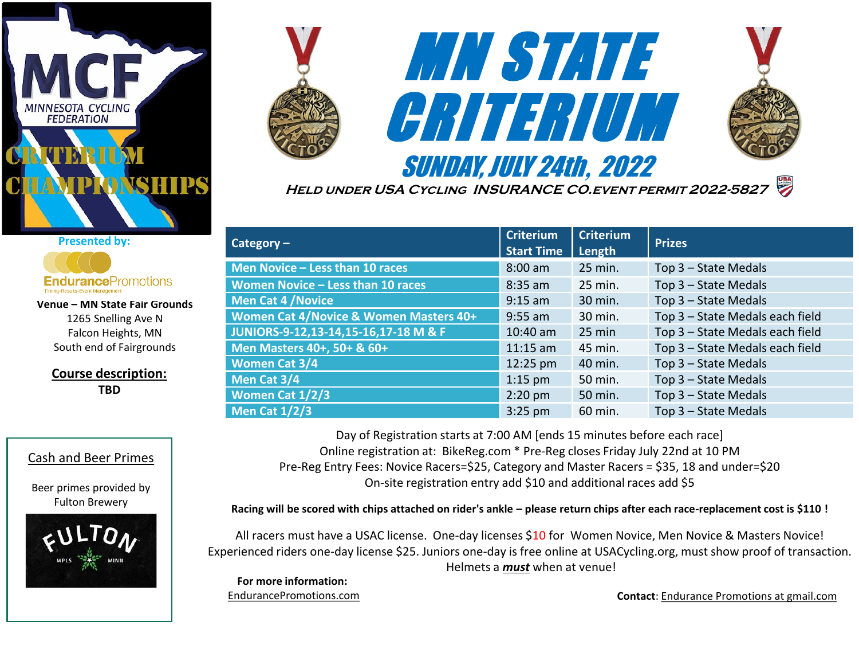

**Course description: TBD**

Cash and Beer Primes

Beer primes provided by Fulton Brewery

**Venue – MN State Fair Grounds**  1265 Snelling Ave N Falcon Heights, MN South end of Fairgrounds

**Endurance**Promotions

**Presented by:**

Timing-Results-Event Management





**Held under USA Cycling INSURANCE CO.event permit 2022-5827**

| Category $-$                           | <b>Criterium</b><br><b>Start Time</b> | <b>Criterium</b><br>Length | <b>Prizes</b>                   |
|----------------------------------------|---------------------------------------|----------------------------|---------------------------------|
| Men Novice - Less than 10 races        | $8:00$ am                             | 25 min.                    | Top 3 - State Medals            |
| Women Novice - Less than 10 races      | $8:35$ am                             | 25 min.                    | Top 3 - State Medals            |
| <b>Men Cat 4 / Novice</b>              | $9:15$ am                             | 30 min.                    | Top 3 - State Medals            |
| Women Cat 4/Novice & Women Masters 40+ | $9:55$ am                             | 30 min.                    | Top 3 - State Medals each field |
| JUNIORS-9-12,13-14,15-16,17-18 M & F   | $10:40$ am                            | $25 \text{ min}$           | Top 3 - State Medals each field |
| Men Masters 40+, 50+ & 60+             | $11:15$ am                            | 45 min.                    | Top 3 - State Medals each field |
| <b>Women Cat 3/4</b>                   | 12:25 pm                              | 40 min.                    | Top 3 - State Medals            |
| Men Cat 3/4                            | $1:15$ pm                             | 50 min.                    | Top 3 - State Medals            |
| Women Cat 1/2/3                        | $2:20$ pm                             | 50 min.                    | Top 3 - State Medals            |
| <b>Men Cat 1/2/3</b>                   | $3:25$ pm                             | 60 min.                    | Top 3 - State Medals            |

Day of Registration starts at 7:00 AM [ends 15 minutes before each race] Online registration at: BikeReg.com \* Pre-Reg closes Friday July 22nd at 10 PM Pre-Reg Entry Fees: Novice Racers=\$25, Category and Master Racers = \$35, 18 and under=\$20 On-site registration entry add \$10 and additional races add \$5

**Racing will be scored with chips attached on rider's ankle – please return chips after each race-replacement cost is \$110 !**

All racers must have a USAC license. One-day licenses \$10 for Women Novice, Men Novice & Masters Novice! Experienced riders one-day license \$25. Juniors one-day is free online at USACycling.org, must show proof of transaction. Helmets a *must* when at venue!

**For more information:**  EndurancePromotions.com

**Contact**: Endurance Promotions at gmail.com